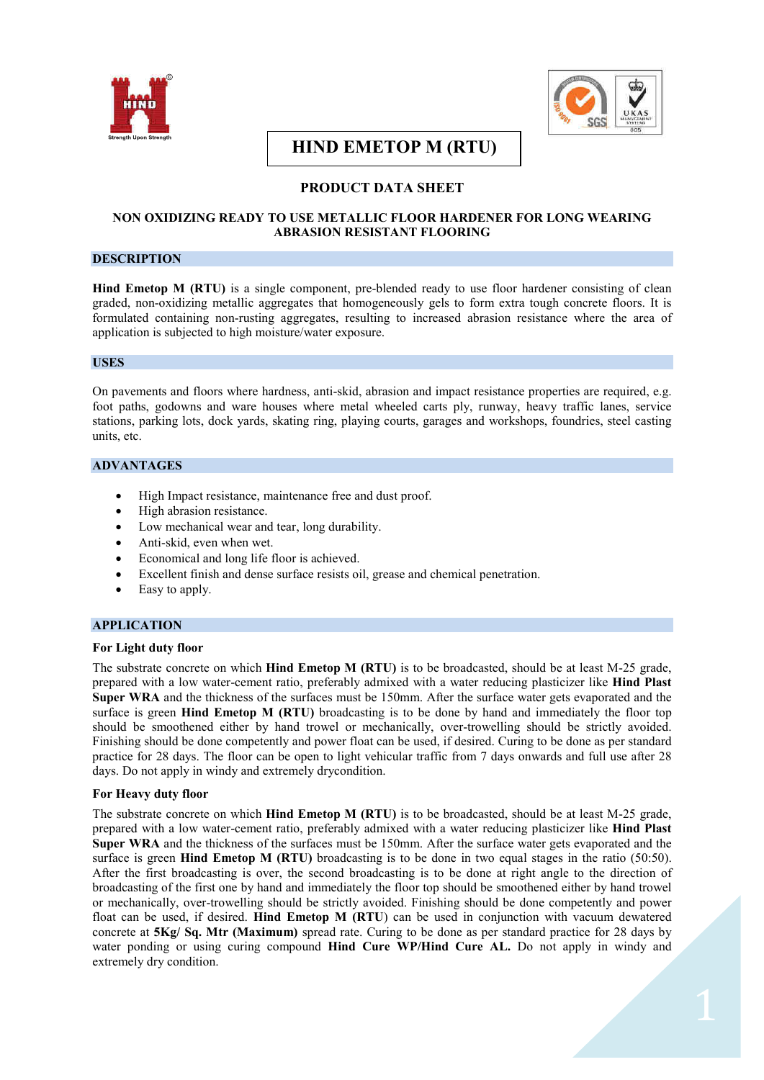



# **HIND EMETOP M (RTU) (((999(RT(RTU)(RTU)**

## **PRODUCT DATA SHEET**

## **NON OXIDIZING READY TO USE METALLIC FLOOR HARDENER FOR LONG WEARING ABRASION RESISTANT FLOORING**

## **DESCRIPTION**

**Hind Emetop M (RTU)** is a single component, pre-blended ready to use floor hardener consisting of clean graded, non-oxidizing metallic aggregates that homogeneously gels to form extra tough concrete floors. It is formulated containing non-rusting aggregates, resulting to increased abrasion resistance where the area of application is subjected to high moisture/water exposure.

#### **USES**

On pavements and floors where hardness, anti-skid, abrasion and impact resistance properties are required, e.g. foot paths, godowns and ware houses where metal wheeled carts ply, runway, heavy traffic lanes, service stations, parking lots, dock yards, skating ring, playing courts, garages and workshops, foundries, steel casting units, etc.

## **ADVANTAGES**

- High Impact resistance, maintenance free and dust proof.
- High abrasion resistance.
- · Low mechanical wear and tear, long durability.
- Anti-skid, even when wet.
- Economical and long life floor is achieved.
- Excellent finish and dense surface resists oil, grease and chemical penetration.
- Easy to apply.

## **APPLICATION**

#### **For Light duty floor**

The substrate concrete on which **Hind Emetop M (RTU)** is to be broadcasted, should be at least M-25 grade, prepared with a low water-cement ratio, preferably admixed with a water reducing plasticizer like **Hind Plast Super WRA** and the thickness of the surfaces must be 150mm. After the surface water gets evaporated and the surface is green **Hind Emetop M (RTU)** broadcasting is to be done by hand and immediately the floor top should be smoothened either by hand trowel or mechanically, over-trowelling should be strictly avoided. Finishing should be done competently and power float can be used, if desired. Curing to be done as per standard practice for 28 days. The floor can be open to light vehicular traffic from 7 days onwards and full use after 28 days. Do not apply in windy and extremely drycondition.

#### **For Heavy duty floor**

The substrate concrete on which **Hind Emetop M (RTU)** is to be broadcasted, should be at least M-25 grade, prepared with a low water-cement ratio, preferably admixed with a water reducing plasticizer like **Hind Plast Super WRA** and the thickness of the surfaces must be 150mm. After the surface water gets evaporated and the surface is green **Hind Emetop M (RTU)** broadcasting is to be done in two equal stages in the ratio (50:50). After the first broadcasting is over, the second broadcasting is to be done at right angle to the direction of broadcasting of the first one by hand and immediately the floor top should be smoothened either by hand trowel or mechanically, over-trowelling should be strictly avoided. Finishing should be done competently and power float can be used, if desired. **Hind Emetop M (RTU**) can be used in conjunction with vacuum dewatered concrete at **5Kg/ Sq. Mtr (Maximum)** spread rate. Curing to be done as per standard practice for 28 days by water ponding or using curing compound **Hind Cure WP/Hind Cure AL.** Do not apply in windy and extremely dry condition.